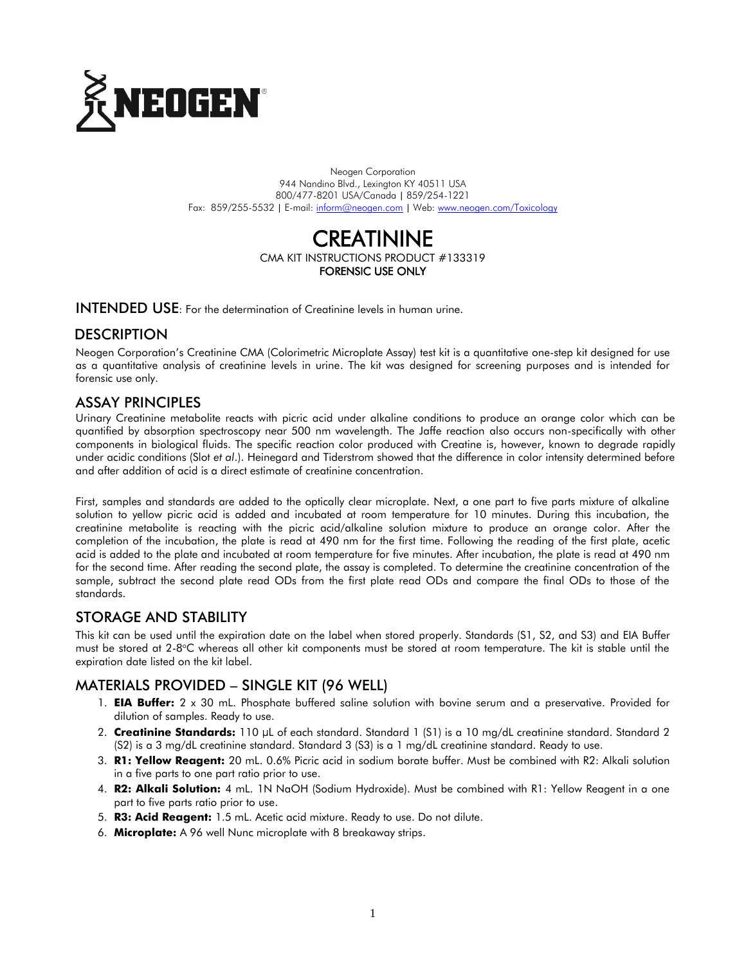

Neogen Corporation 944 Nandino Blvd., Lexington KY 40511 USA 800/477-8201 USA/Canada | 859/254-1221 Fax: 859/255-5532 | E-mail[: inform@neogen.com](mailto:inform@neogen.com) | Web[: www.neogen.com/Toxicology](http://www.neogen.com/Toxicology)

# **CREATININE** CMA KIT INSTRUCTIONS PRODUCT #133319 FORENSIC USE ONLY

INTENDED USE: For the determination of Creatinine levels in human urine.

# **DESCRIPTION**

Neogen Corporation's Creatinine CMA (Colorimetric Microplate Assay) test kit is a quantitative one-step kit designed for use as a quantitative analysis of creatinine levels in urine. The kit was designed for screening purposes and is intended for forensic use only.

## ASSAY PRINCIPLES

Urinary Creatinine metabolite reacts with picric acid under alkaline conditions to produce an orange color which can be quantified by absorption spectroscopy near 500 nm wavelength. The Jaffe reaction also occurs non-specifically with other components in biological fluids. The specific reaction color produced with Creatine is, however, known to degrade rapidly under acidic conditions (Slot *et al*.). Heinegard and Tiderstrom showed that the difference in color intensity determined before and after addition of acid is a direct estimate of creatinine concentration.

First, samples and standards are added to the optically clear microplate. Next, a one part to five parts mixture of alkaline solution to yellow picric acid is added and incubated at room temperature for 10 minutes. During this incubation, the creatinine metabolite is reacting with the picric acid/alkaline solution mixture to produce an orange color. After the completion of the incubation, the plate is read at 490 nm for the first time. Following the reading of the first plate, acetic acid is added to the plate and incubated at room temperature for five minutes. After incubation, the plate is read at 490 nm for the second time. After reading the second plate, the assay is completed. To determine the creatinine concentration of the sample, subtract the second plate read ODs from the first plate read ODs and compare the final ODs to those of the standards.

# STORAGE AND STABILITY

This kit can be used until the expiration date on the label when stored properly. Standards (S1, S2, and S3) and EIA Buffer must be stored at 2-8°C whereas all other kit components must be stored at room temperature. The kit is stable until the expiration date listed on the kit label.

# MATERIALS PROVIDED – SINGLE KIT (96 WELL)

- 1. **EIA Buffer:** 2 x 30 mL. Phosphate buffered saline solution with bovine serum and a preservative. Provided for dilution of samples. Ready to use.
- 2. **Creatinine Standards:** 110 µL of each standard. Standard 1 (S1) is a 10 mg/dL creatinine standard. Standard 2 (S2) is a 3 mg/dL creatinine standard. Standard 3 (S3) is a 1 mg/dL creatinine standard. Ready to use.
- 3. **R1: Yellow Reagent:** 20 mL. 0.6% Picric acid in sodium borate buffer. Must be combined with R2: Alkali solution in a five parts to one part ratio prior to use.
- 4. **R2: Alkali Solution:** 4 mL. 1N NaOH (Sodium Hydroxide). Must be combined with R1: Yellow Reagent in a one part to five parts ratio prior to use.
- 5. **R3: Acid Reagent:** 1.5 mL. Acetic acid mixture. Ready to use. Do not dilute.
- 6. **Microplate:** A 96 well Nunc microplate with 8 breakaway strips.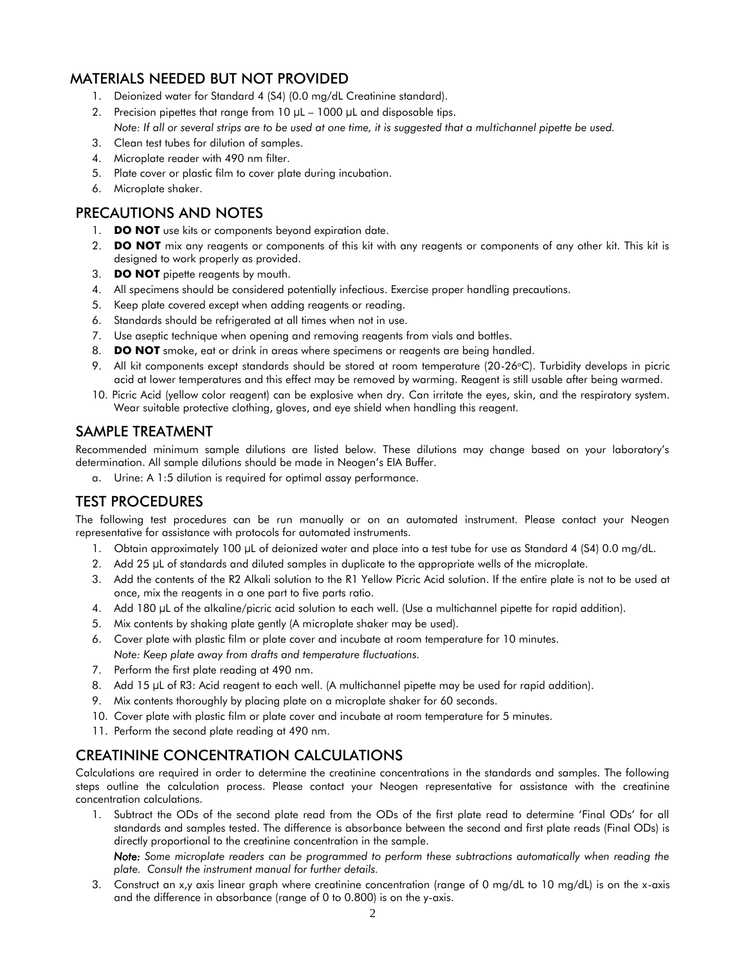## MATERIALS NEEDED BUT NOT PROVIDED

- 1. Deionized water for Standard 4 (S4) (0.0 mg/dL Creatinine standard).
- 2. Precision pipettes that range from  $10 \mu L 1000 \mu L$  and disposable tips. *Note: If all or several strips are to be used at one time, it is suggested that a multichannel pipette be used.*
- 3. Clean test tubes for dilution of samples.
- 4. Microplate reader with 490 nm filter.
- 5. Plate cover or plastic film to cover plate during incubation.
- 6. Microplate shaker.

# PRECAUTIONS AND NOTES

- 1. **DO NOT** use kits or components beyond expiration date.
- 2. **DO NOT** mix any reagents or components of this kit with any reagents or components of any other kit. This kit is designed to work properly as provided.
- 3. **DO NOT** pipette reagents by mouth.
- 4. All specimens should be considered potentially infectious. Exercise proper handling precautions.
- 5. Keep plate covered except when adding reagents or reading.
- 6. Standards should be refrigerated at all times when not in use.
- 7. Use aseptic technique when opening and removing reagents from vials and bottles.
- 8. **DO NOT** smoke, eat or drink in areas where specimens or reagents are being handled.
- 9. All kit components except standards should be stored at room temperature (20-26°C). Turbidity develops in picric acid at lower temperatures and this effect may be removed by warming. Reagent is still usable after being warmed.
- 10. Picric Acid (yellow color reagent) can be explosive when dry. Can irritate the eyes, skin, and the respiratory system. Wear suitable protective clothing, gloves, and eye shield when handling this reagent.

# SAMPLE TREATMENT

Recommended minimum sample dilutions are listed below. These dilutions may change based on your laboratory's determination. All sample dilutions should be made in Neogen's EIA Buffer.

a. Urine: A 1:5 dilution is required for optimal assay performance.

# TEST PROCEDURES

The following test procedures can be run manually or on an automated instrument. Please contact your Neogen representative for assistance with protocols for automated instruments.

- 1. Obtain approximately 100 µL of deionized water and place into a test tube for use as Standard 4 (S4) 0.0 mg/dL.
- 2. Add 25 µL of standards and diluted samples in duplicate to the appropriate wells of the microplate.
- 3. Add the contents of the R2 Alkali solution to the R1 Yellow Picric Acid solution. If the entire plate is not to be used at once, mix the reagents in a one part to five parts ratio.
- 4. Add 180 µL of the alkaline/picric acid solution to each well. (Use a multichannel pipette for rapid addition).
- 5. Mix contents by shaking plate gently (A microplate shaker may be used).
- 6. Cover plate with plastic film or plate cover and incubate at room temperature for 10 minutes.
- *Note: Keep plate away from drafts and temperature fluctuations.*
- 7. Perform the first plate reading at 490 nm.
- 8. Add 15 µL of R3: Acid reagent to each well. (A multichannel pipette may be used for rapid addition).
- 9. Mix contents thoroughly by placing plate on a microplate shaker for 60 seconds.
- 10. Cover plate with plastic film or plate cover and incubate at room temperature for 5 minutes.
- 11. Perform the second plate reading at 490 nm.

# CREATININE CONCENTRATION CALCULATIONS

Calculations are required in order to determine the creatinine concentrations in the standards and samples. The following steps outline the calculation process. Please contact your Neogen representative for assistance with the creatinine concentration calculations.

1. Subtract the ODs of the second plate read from the ODs of the first plate read to determine 'Final ODs' for all standards and samples tested. The difference is absorbance between the second and first plate reads (Final ODs) is directly proportional to the creatinine concentration in the sample.

*Note: Some microplate readers can be programmed to perform these subtractions automatically when reading the plate. Consult the instrument manual for further details.*

3. Construct an x,y axis linear graph where creatinine concentration (range of 0 mg/dL to 10 mg/dL) is on the x-axis and the difference in absorbance (range of 0 to 0.800) is on the y-axis.